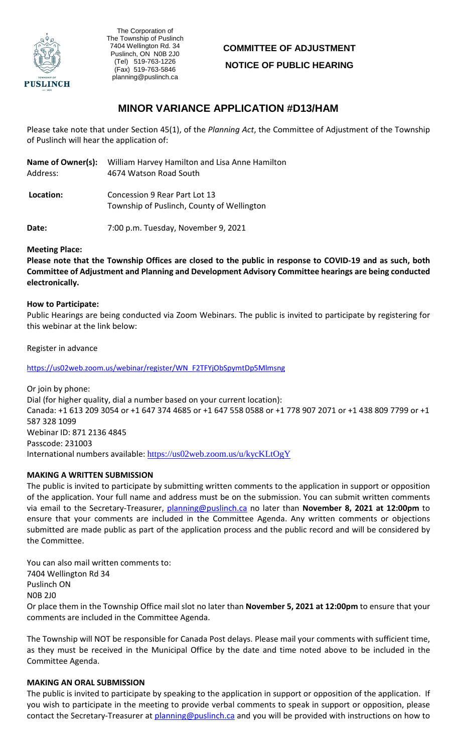

, The Corporation of The Township of Puslinch 7404 Wellington Rd. 34 Puslinch, ON N0B 2J0 (Tel) 519-763-1226 (Fax) 519-763-5846 planning@puslinch.ca

# **COMMITTEE OF ADJUSTMENT NOTICE OF PUBLIC HEARING**

# **MINOR VARIANCE APPLICATION #D13/HAM**

Please take note that under Section 45(1), of the *Planning Act*, the Committee of Adjustment of the Township of Puslinch will hear the application of:

| Name of Owner(s): | William Harvey Hamilton and Lisa Anne Hamilton                              |
|-------------------|-----------------------------------------------------------------------------|
| Address:          | 4674 Watson Road South                                                      |
| Location:         | Concession 9 Rear Part Lot 13<br>Township of Puslinch, County of Wellington |

**Date:** 7:00 p.m. Tuesday, November 9, 2021

#### **Meeting Place:**

**Please note that the Township Offices are closed to the public in response to COVID-19 and as such, both Committee of Adjustment and Planning and Development Advisory Committee hearings are being conducted electronically.** 

#### **How to Participate:**

Public Hearings are being conducted via Zoom Webinars. The public is invited to participate by registering for this webinar at the link below:

Register in advance

[https://us02web.zoom.us/webinar/register/WN\\_F2TFYjObSpymtDp5Mlmsng](https://us02web.zoom.us/webinar/register/WN_F2TFYjObSpymtDp5Mlmsng)

Or join by phone: Dial (for higher quality, dial a number based on your current location): Canada: +1 613 209 3054 or +1 647 374 4685 or +1 647 558 0588 or +1 778 907 2071 or +1 438 809 7799 or +1 587 328 1099 Webinar ID: 871 2136 4845 Passcode: 231003 International numbers available: <https://us02web.zoom.us/u/kycKLtOgY>

#### **MAKING A WRITTEN SUBMISSION**

The public is invited to participate by submitting written comments to the application in support or opposition of the application. Your full name and address must be on the submission. You can submit written comments via email to the Secretary-Treasurer, planning@puslinch.ca no later than **November 8, 2021 at 12:00pm** to ensure that your comments are included in the Committee Agenda. Any written comments or objections submitted are made public as part of the application process and the public record and will be considered by the Committee.

You can also mail written comments to: 7404 Wellington Rd 34 Puslinch ON N0B 2J0 Or place them in the Township Office mail slot no later than **November 5, 2021 at 12:00pm** to ensure that your comments are included in the Committee Agenda.

The Township will NOT be responsible for Canada Post delays. Please mail your comments with sufficient time, as they must be received in the Municipal Office by the date and time noted above to be included in the Committee Agenda.

#### **MAKING AN ORAL SUBMISSION**

The public is invited to participate by speaking to the application in support or opposition of the application. If you wish to participate in the meeting to provide verbal comments to speak in support or opposition, please contact the Secretary-Treasurer at planning@puslinch.ca and you will be provided with instructions on how to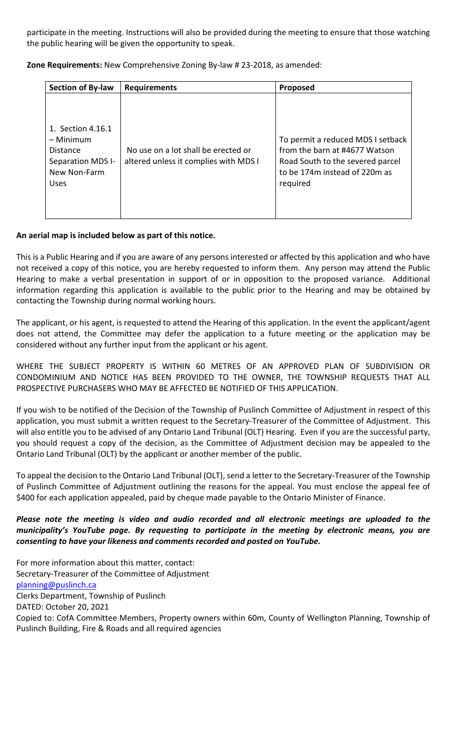participate in the meeting. Instructions will also be provided during the meeting to ensure that those watching the public hearing will be given the opportunity to speak.

**Zone Requirements:** New Comprehensive Zoning By-law # 23-2018, as amended:

| <b>Section of By-law</b>                                                                       | <b>Requirements</b>                                                          | Proposed                                                                                                                                            |
|------------------------------------------------------------------------------------------------|------------------------------------------------------------------------------|-----------------------------------------------------------------------------------------------------------------------------------------------------|
| 1. Section 4.16.1<br>– Minimum<br>Distance<br>Separation MDS I-<br>New Non-Farm<br><b>Uses</b> | No use on a lot shall be erected or<br>altered unless it complies with MDS I | To permit a reduced MDS I setback<br>from the barn at #4677 Watson<br>Road South to the severed parcel<br>to be 174m instead of 220m as<br>required |

### **An aerial map is included below as part of this notice.**

This is a Public Hearing and if you are aware of any persons interested or affected by this application and who have not received a copy of this notice, you are hereby requested to inform them. Any person may attend the Public Hearing to make a verbal presentation in support of or in opposition to the proposed variance. Additional information regarding this application is available to the public prior to the Hearing and may be obtained by contacting the Township during normal working hours.

The applicant, or his agent, is requested to attend the Hearing of this application. In the event the applicant/agent does not attend, the Committee may defer the application to a future meeting or the application may be considered without any further input from the applicant or his agent.

WHERE THE SUBJECT PROPERTY IS WITHIN 60 METRES OF AN APPROVED PLAN OF SUBDIVISION OR CONDOMINIUM AND NOTICE HAS BEEN PROVIDED TO THE OWNER, THE TOWNSHIP REQUESTS THAT ALL PROSPECTIVE PURCHASERS WHO MAY BE AFFECTED BE NOTIFIED OF THIS APPLICATION.

If you wish to be notified of the Decision of the Township of Puslinch Committee of Adjustment in respect of this application, you must submit a written request to the Secretary-Treasurer of the Committee of Adjustment. This will also entitle you to be advised of any Ontario Land Tribunal (OLT) Hearing. Even if you are the successful party, you should request a copy of the decision, as the Committee of Adjustment decision may be appealed to the Ontario Land Tribunal (OLT) by the applicant or another member of the public.

To appeal the decision to the Ontario Land Tribunal (OLT), send a letter to the Secretary-Treasurer of the Township of Puslinch Committee of Adjustment outlining the reasons for the appeal. You must enclose the appeal fee of \$400 for each application appealed, paid by cheque made payable to the Ontario Minister of Finance.

## *Please note the meeting is video and audio recorded and all electronic meetings are uploaded to the municipality's YouTube page. By requesting to participate in the meeting by electronic means, you are consenting to have your likeness and comments recorded and posted on YouTube.*

For more information about this matter, contact: Secretary-Treasurer of the Committee of Adjustment [planning@puslinch.ca](mailto:planning@puslinch.ca) Clerks Department, Township of Puslinch DATED: October 20, 2021 Copied to: CofA Committee Members, Property owners within 60m, County of Wellington Planning, Township of Puslinch Building, Fire & Roads and all required agencies